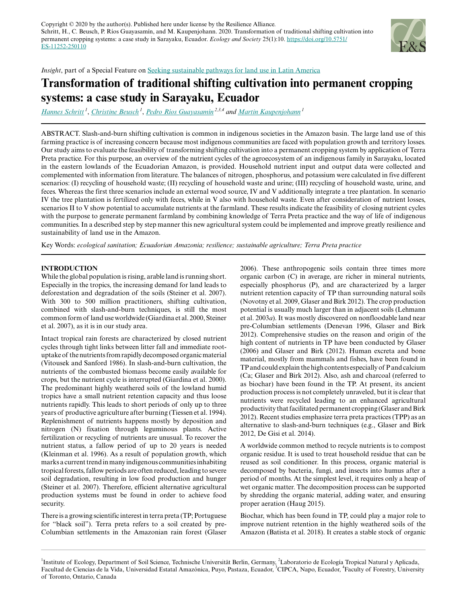

*Insight*, part of a Special Feature on [Seeking sustainable pathways for land use in Latin America](https://www.ecologyandsociety.org/viewissue.php?sf=130)

# **Transformation of traditional shifting cultivation into permanent cropping systems: a case study in Sarayaku, Ecuador**

*[Hannes Schritt](mailto:hannes.schritt@gmail.com)<sup>1</sup>* , *[Christine Beusch](mailto:christine.beusch@email.de)<sup>1</sup>* , *[Pedro Ríos Guayasamín](mailto:pedroriosg@yahoo.es) 2,3,4 and [Martin Kaupenjohann](mailto:martin.kaupenjohann@tu-berlin.de)<sup>1</sup>*

ABSTRACT. Slash-and-burn shifting cultivation is common in indigenous societies in the Amazon basin. The large land use of this farming practice is of increasing concern because most indigenous communities are faced with population growth and territory losses. Our study aims to evaluate the feasibility of transforming shifting cultivation into a permanent cropping system by application of Terra Preta practice. For this purpose, an overview of the nutrient cycles of the agroecosystem of an indigenous family in Sarayaku, located in the eastern lowlands of the Ecuadorian Amazon, is provided. Household nutrient input and output data were collected and complemented with information from literature. The balances of nitrogen, phosphorus, and potassium were calculated in five different scenarios: (I) recycling of household waste; (II) recycling of household waste and urine; (III) recycling of household waste, urine, and feces. Whereas the first three scenarios include an external wood source, IV and V additionally integrate a tree plantation. In scenario IV the tree plantation is fertilized only with feces, while in V also with household waste. Even after consideration of nutrient losses, scenarios II to V show potential to accumulate nutrients at the farmland. These results indicate the feasibility of closing nutrient cycles with the purpose to generate permanent farmland by combining knowledge of Terra Preta practice and the way of life of indigenous communities. In a described step by step manner this new agricultural system could be implemented and improve greatly resilience and sustainability of land use in the Amazon.

Key Words: *ecological sanitation; Ecuadorian Amazonia; resilience; sustainable agriculture; Terra Preta practice*

# **INTRODUCTION**

While the global population is rising, arable land is running short. Especially in the tropics, the increasing demand for land leads to deforestation and degradation of the soils (Steiner et al. 2007). With 300 to 500 million practitioners, shifting cultivation, combined with slash-and-burn techniques, is still the most common form of land use worldwide (Giardina et al. 2000, Steiner et al. 2007), as it is in our study area.

Intact tropical rain forests are characterized by closed nutrient cycles through tight links between litter fall and immediate rootuptake of the nutrients from rapidly decomposed organic material (Vitousek and Sanford 1986). In slash-and-burn cultivation, the nutrients of the combusted biomass become easily available for crops, but the nutrient cycle is interrupted (Giardina et al. 2000). The predominant highly weathered soils of the lowland humid tropics have a small nutrient retention capacity and thus loose nutrients rapidly. This leads to short periods of only up to three years of productive agriculture after burning (Tiessen et al. 1994). Replenishment of nutrients happens mostly by deposition and nitrogen (N) fixation through leguminous plants. Active fertilization or recycling of nutrients are unusual. To recover the nutrient status, a fallow period of up to 20 years is needed (Kleinman et al. 1996). As a result of population growth, which marks a current trend in many indigenous communities inhabiting tropical forests, fallow periods are often reduced, leading to severe soil degradation, resulting in low food production and hunger (Steiner et al. 2007). Therefore, efficient alternative agricultural production systems must be found in order to achieve food security.

There is a growing scientific interest in terra preta (TP; Portuguese for "black soil"). Terra preta refers to a soil created by pre-Columbian settlements in the Amazonian rain forest (Glaser 2006). These anthropogenic soils contain three times more organic carbon (C) in average, are richer in mineral nutrients, especially phosphorus (P), and are characterized by a larger nutrient retention capacity of TP than surrounding natural soils (Novotny et al. 2009, Glaser and Birk 2012). The crop production potential is usually much larger than in adjacent soils (Lehmann et al. 2003*a*). It was mostly discovered on nonfloodable land near pre-Columbian settlements (Denevan 1996, Glaser and Birk 2012). Comprehensive studies on the reason and origin of the high content of nutrients in TP have been conducted by Glaser (2006) and Glaser and Birk (2012). Human excreta and bone material, mostly from mammals and fishes, have been found in TP and could explain the high contents especially of P and calcium (Ca; Glaser and Birk 2012). Also, ash and charcoal (referred to as biochar) have been found in the TP. At present, its ancient production process is not completely unraveled, but it is clear that nutrients were recycled leading to an enhanced agricultural productivity that facilitated permanent cropping (Glaser and Birk 2012). Recent studies emphasize terra preta practices (TPP) as an alternative to slash-and-burn techniques (e.g., Glaser and Birk 2012, De Gisi et al. 2014).

A worldwide common method to recycle nutrients is to compost organic residue. It is used to treat household residue that can be reused as soil conditioner. In this process, organic material is decomposed by bacteria, fungi, and insects into humus after a period of months. At the simplest level, it requires only a heap of wet organic matter. The decomposition process can be supported by shredding the organic material, adding water, and ensuring proper aeration (Haug 2015).

Biochar, which has been found in TP, could play a major role to improve nutrient retention in the highly weathered soils of the Amazon (Batista et al. 2018). It creates a stable stock of organic

<sup>&</sup>lt;sup>1</sup>Institute of Ecology, Department of Soil Science, Technische Universität Berlin, Germany, <sup>2</sup>Laboratorio de Ecología Tropical Natural y Aplicada, Facultad de Ciencias de la Vida, Universidad Estatal Amazónica, Puyo, Pastaza, Ecuador, <sup>3</sup>CIPCA, Napo, Ecuador, <sup>4</sup>Faculty of Forestry, University of Toronto, Ontario, Canada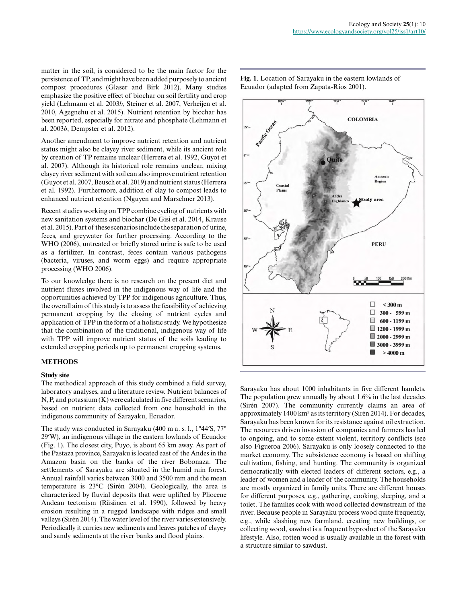matter in the soil, is considered to be the main factor for the persistence of TP, and might have been added purposely to ancient compost procedures (Glaser and Birk 2012). Many studies emphasize the positive effect of biochar on soil fertility and crop yield (Lehmann et al. 2003*b*, Steiner et al. 2007, Verheijen et al. 2010, Agegnehu et al. 2015). Nutrient retention by biochar has been reported, especially for nitrate and phosphate (Lehmann et al. 2003*b*, Dempster et al. 2012).

Another amendment to improve nutrient retention and nutrient status might also be clayey river sediment, while its ancient role by creation of TP remains unclear (Herrera et al. 1992, Guyot et al. 2007). Although its historical role remains unclear, mixing clayey river sediment with soil can also improve nutrient retention (Guyot et al. 2007, Beusch et al. 2019) and nutrient status (Herrera et al. 1992). Furthermore, addition of clay to compost leads to enhanced nutrient retention (Nguyen and Marschner 2013).

Recent studies working on TPP combine cycling of nutrients with new sanitation systems and biochar (De Gisi et al. 2014, Krause et al. 2015). Part of these scenarios include the separation of urine, feces, and greywater for further processing. According to the WHO (2006), untreated or briefly stored urine is safe to be used as a fertilizer. In contrast, feces contain various pathogens (bacteria, viruses, and worm eggs) and require appropriate processing (WHO 2006).

To our knowledge there is no research on the present diet and nutrient fluxes involved in the indigenous way of life and the opportunities achieved by TPP for indigenous agriculture. Thus, the overall aim of this study is to assess the feasibility of achieving permanent cropping by the closing of nutrient cycles and application of TPP in the form of a holistic study. We hypothesize that the combination of the traditional, indigenous way of life with TPP will improve nutrient status of the soils leading to extended cropping periods up to permanent cropping systems.

## **METHODS**

# **Study site**

The methodical approach of this study combined a field survey, laboratory analyses, and a literature review. Nutrient balances of N, P, and potassium (K) were calculated in five different scenarios, based on nutrient data collected from one household in the indigenous community of Sarayaku, Ecuador.

The study was conducted in Sarayaku (400 m a. s. l., 1°44′S, 77° 29′W), an indigenous village in the eastern lowlands of Ecuador (Fig. 1). The closest city, Puyo, is about 65 km away. As part of the Pastaza province, Sarayaku is located east of the Andes in the Amazon basin on the banks of the river Bobonaza. The settlements of Sarayaku are situated in the humid rain forest. Annual rainfall varies between 3000 and 3500 mm and the mean temperature is 23°C (Sirén 2004). Geologically, the area is characterized by fluvial deposits that were uplifted by Pliocene Andean tectonism (Räsänen et al. 1990), followed by heavy erosion resulting in a rugged landscape with ridges and small valleys (Sirén 2014). The water level of the river varies extensively. Periodically it carries new sediments and leaves patches of clayey and sandy sediments at the river banks and flood plains.



Sarayaku has about 1000 inhabitants in five different hamlets. The population grew annually by about 1.6% in the last decades (Sirén 2007). The community currently claims an area of approximately 1400 km² as its territory (Sirén 2014). For decades, Sarayaku has been known for its resistance against oil extraction. The resources driven invasion of companies and farmers has led to ongoing, and to some extent violent, territory conflicts (see also Figueroa 2006). Sarayaku is only loosely connected to the market economy. The subsistence economy is based on shifting cultivation, fishing, and hunting. The community is organized democratically with elected leaders of different sectors, e.g., a leader of women and a leader of the community. The households are mostly organized in family units. There are different houses for different purposes, e.g., gathering, cooking, sleeping, and a toilet. The families cook with wood collected downstream of the river. Because people in Sarayaku process wood quite frequently, e.g., while slashing new farmland, creating new buildings, or collecting wood, sawdust is a frequent byproduct of the Sarayaku lifestyle. Also, rotten wood is usually available in the forest with a structure similar to sawdust.

**Fig. 1**. Location of Sarayaku in the eastern lowlands of Ecuador (adapted from Zapata-Ríos 2001).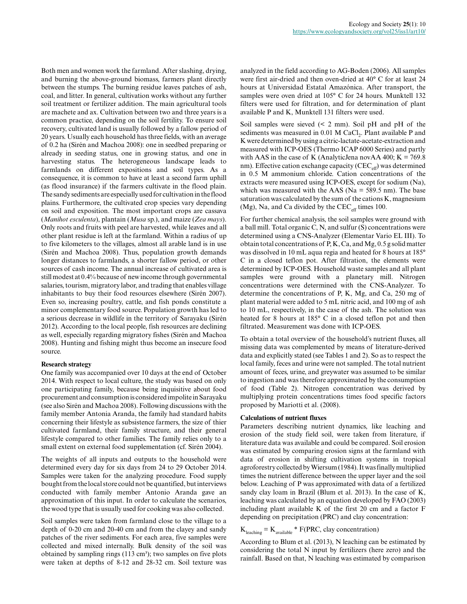Both men and women work the farmland. After slashing, drying, and burning the above-ground biomass, farmers plant directly between the stumps. The burning residue leaves patches of ash, coal, and litter. In general, cultivation works without any further soil treatment or fertilizer addition. The main agricultural tools are machete and ax. Cultivation between two and three years is a common practice, depending on the soil fertility. To ensure soil recovery, cultivated land is usually followed by a fallow period of 20 years. Usually each household has three fields, with an average of 0.2 ha (Sirén and Machoa 2008): one in seedbed preparing or already in seeding status, one in growing status, and one in harvesting status. The heterogeneous landscape leads to farmlands on different expositions and soil types. As a consequence, it is common to have at least a second farm uphill (as flood insurance) if the farmers cultivate in the flood plain. The sandy sediments are especially used for cultivation in the flood plains. Furthermore, the cultivated crop species vary depending on soil and exposition. The most important crops are cassava (*Manihot esculenta*), plantain (*Musa* sp.), and maize (*Zea mays*). Only roots and fruits with peel are harvested, while leaves and all other plant residue is left at the farmland. Within a radius of up to five kilometers to the villages, almost all arable land is in use (Sirén and Machoa 2008). Thus, population growth demands longer distances to farmlands, a shorter fallow period, or other sources of cash income. The annual increase of cultivated area is still modest at 0.4% because of new income through governmental salaries, tourism, migratory labor, and trading that enables village inhabitants to buy their food resources elsewhere (Sirén 2007). Even so, increasing poultry, cattle, and fish ponds constitute a minor complementary food source. Population growth has led to a serious decrease in wildlife in the territory of Sarayaku (Sirén 2012). According to the local people, fish resources are declining as well, especially regarding migratory fishes (Sirén and Machoa 2008). Hunting and fishing might thus become an insecure food source.

# **Research strategy**

One family was accompanied over 10 days at the end of October 2014. With respect to local culture, the study was based on only one participating family, because being inquisitive about food procurement and consumption is considered impolite in Sarayaku (see also Sirén and Machoa 2008). Following discussions with the family member Antonia Aranda, the family had standard habits concerning their lifestyle as subsistence farmers, the size of thier cultivated farmland, their family structure, and their general lifestyle compared to other families. The family relies only to a small extent on external food supplementation (cf. Sirén 2004).

The weights of all inputs and outputs to the household were determined every day for six days from 24 to 29 October 2014. Samples were taken for the analyzing procedure. Food supply bought from the local store could not be quantified, but interviews conducted with family member Antonio Aranda gave an approximation of this input. In order to calculate the scenarios, the wood type that is usually used for cooking was also collected.

Soil samples were taken from farmland close to the village to a depth of 0-20 cm and 20-40 cm and from the clayey and sandy patches of the river sediments. For each area, five samples were collected and mixed internally. Bulk density of the soil was obtained by sampling rings  $(113 \text{ cm}^3)$ ; two samples on five plots were taken at depths of 8-12 and 28-32 cm. Soil texture was analyzed in the field according to AG-Boden (2006). All samples were first air-dried and then oven-dried at 40° C for at least 24 hours at Universidad Estatal Amazónica. After transport, the samples were oven dried at 105° C for 24 hours. Munktell 132 filters were used for filtration, and for determination of plant available P and K, Munktell 131 filters were used.

Soil samples were sieved (< 2 mm). Soil pH and pH of the sediments was measured in  $0.01$  M CaCl<sub>2</sub>. Plant available P and K were determined by using a citric-lactate-acetate-extraction and measured with ICP-OES (Thermo ICAP 6000 Series) and partly with AAS in the case of K (AnalyticJena novAA 400; K = 769.8) nm). Effective cation exchange capacity (CEC<sub>eff</sub>) was determined in 0.5 M ammonium chloride. Cation concentrations of the extracts were measured using ICP-OES, except for sodium (Na), which was measured with the AAS ( $Na = 589.5$  nm). The base saturation was calculated by the sum of the cations K, magnesium (Mg), Na, and Ca divided by the  $\text{CEC}_{\text{eff}}$  times 100.

For further chemical analysis, the soil samples were ground with a ball mill. Total organic C, N, and sulfur (S) concentrations were determined using a CNS-Analyzer (Elementar Vario EL III). To obtain total concentrations of P, K, Ca, and Mg, 0.5 g solid matter was dissolved in 10 mL aqua regia and heated for 8 hours at 185° C in a closed teflon pot. After filtration, the elements were determined by ICP-OES. Household waste samples and all plant samples were ground with a planetary mill. Nitrogen concentrations were determined with the CNS-Analyzer. To determine the concentrations of P, K, Mg, and Ca, 250 mg of plant material were added to 5 mL nitric acid, and 100 mg of ash to 10 mL, respectively, in the case of the ash. The solution was heated for 8 hours at 185° C in a closed teflon pot and then filtrated. Measurement was done with ICP-OES.

To obtain a total overview of the household's nutrient fluxes, all missing data was complemented by means of literature-derived data and explicitly stated (see Tables 1 and 2). So as to respect the local family, feces and urine were not sampled. The total nutrient amount of feces, urine, and greywater was assumed to be similar to ingestion and was therefore approximated by the consumption of food (Table 2). Nitrogen concentration was derived by multiplying protein concentrations times food specific factors proposed by Mariotti et al. (2008).

## **Calculations of nutrient fluxes**

Parameters describing nutrient dynamics, like leaching and erosion of the study field soil, were taken from literature, if literature data was available and could be compared. Soil erosion was estimated by comparing erosion signs at the farmland with data of erosion in shifting cultivation systems in tropical agroforestry collected by Wiersum (1984). It was finally multiplied times the nutrient difference between the upper layer and the soil below. Leaching of P was approximated with data of a fertilized sandy clay loam in Brazil (Blum et al. 2013). In the case of K, leaching was calculated by an equation developed by FAO (2003) including plant available K of the first 20 cm and a factor F depending on precipitation (PRC) and clay concentration:

 $\mathbf{K}_{\text{leaching}} = \mathbf{K}_{\text{available}} * \text{F(PRC, clay concentration)}$ 

According to Blum et al. (2013), N leaching can be estimated by considering the total N input by fertilizers (here zero) and the rainfall. Based on that, N leaching was estimated by comparison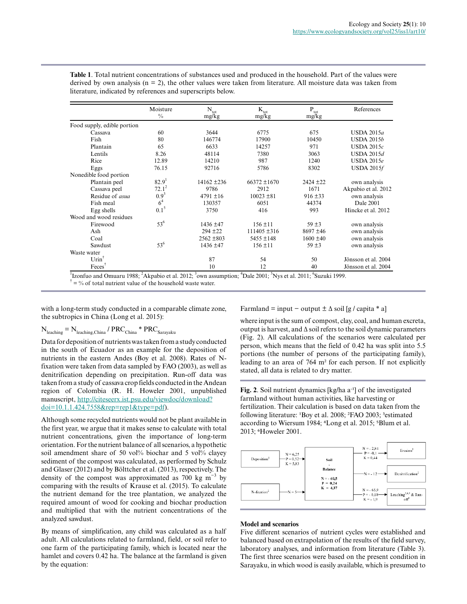|                             | Moisture       | N<br>tot        | $K_{\text{tot}}$ | P<br>tot      | References          |
|-----------------------------|----------------|-----------------|------------------|---------------|---------------------|
|                             | $\frac{0}{0}$  | mg/kg           | mg/kg            | mg/kg         |                     |
| Food supply, edible portion |                |                 |                  |               |                     |
| Cassava                     | 60             | 3644            | 6775             | 675           | <b>USDA 2015a</b>   |
| Fish                        | 80             | 146774          | 17900            | 10450         | <b>USDA 2015b</b>   |
| Plantain                    | 65             | 6633            | 14257            | 971           | USDA $2015c$        |
| Lentils                     | 8.26           | 48114           | 7380             | 3063          | <b>USDA 2015d</b>   |
| Rice                        | 12.89          | 14210           | 987              | 1240          | <b>USDA 2015e</b>   |
| Eggs                        | 76.15          | 92716           | 5786             | 8302          | <b>USDA 2015f</b>   |
| Nonedible food portion      |                |                 |                  |               |                     |
| Plantain peel               | $82.9^{1}$     | $14162 \pm 236$ | $66372 \pm 1670$ | $2424 \pm 22$ | own analysis        |
| Cassava peel                | $72.1^2$       | 9786            | 2912             | 1671          | Akpabio et al. 2012 |
| Residue of <i>asua</i>      | $0.9^3$        | $4791 \pm 16$   | $10023 \pm 81$   | $916 \pm 33$  | own analysis        |
| Fish meal                   | 6 <sup>4</sup> | 130357          | 6051             | 44374         | <b>Dale 2001</b>    |
| Egg shells                  | $0.1^5$        | 3750            | 416              | 993           | Hincke et al. 2012  |
| Wood and wood residues      |                |                 |                  |               |                     |
| Firewood                    | $53^{6}$       | $1436 \pm 47$   | $156 \pm 11$     | $59 \pm 3$    | own analysis        |
| Ash                         |                | $294 + 22$      | $111405 \pm 316$ | $8697 \pm 46$ | own analysis        |
| Coal                        |                | $2562 \pm 803$  | $5455 \pm 148$   | $1600 \pm 40$ | own analysis        |
| Sawdust                     | $53^{6}$       | $1436 \pm 47$   | $156 \pm 11$     | $59 + 3$      | own analysis        |
| Waste water                 |                |                 |                  |               |                     |
| $U$ rin <sup>†</sup>        |                | 87              | 54               | 50            | Jönsson et al. 2004 |
| Feces <sup>T</sup>          |                | 10              | 12               | 40            | Jönsson et al. 2004 |

**Table 1**. Total nutrient concentrations of substances used and produced in the household. Part of the values were derived by own analysis  $(n = 2)$ , the other values were taken from literature. All moisture data was taken from literature, indicated by references and superscripts below.

<sup>1</sup>Izonfuo and Omuaru 1988; <sup>2</sup>Akpabio et al. 2012; <sup>3</sup>own assumption; <sup>4</sup>Dale 2001; <sup>5</sup>Nys et al. 2011; <sup>6</sup>Suzuki 1999.  $\phi$  = % of total nutrient value of the household waste water.

with a long-term study conducted in a comparable climate zone, the subtropics in China (Long et al. 2015):

$$
N_{\text{leaching}} = N_{\text{leaching,China}} / \text{PRC}_{\text{China}} * \text{PRC}_{\text{Sarayaku}}
$$

Data for deposition of nutrients was taken from a study conducted in the south of Ecuador as an example for the deposition of nutrients in the eastern Andes (Boy et al. 2008). Rates of Nfixation were taken from data sampled by FAO (2003), as well as denitrification depending on precipitation. Run-off data was taken from a study of cassava crop fields conducted in the Andean region of Colombia (R. H. Howeler 2001, unpublished manuscript, [http://citeseerx.ist.psu.edu/viewdoc/download?](http://citeseerx.ist.psu.edu/viewdoc/download?doi=10.1.1.424.7558&rep=rep1&type=pdf) [doi=10.1.1.424.7558&rep=rep1&type=pdf\)](http://citeseerx.ist.psu.edu/viewdoc/download?doi=10.1.1.424.7558&rep=rep1&type=pdf).

Although some recycled nutrients would not be plant available in the first year, we argue that it makes sense to calculate with total nutrient concentrations, given the importance of long-term orientation. For the nutrient balance of all scenarios, a hypothetic soil amendment share of 50 vol% biochar and 5 vol% clayey sediment of the compost was calculated, as performed by Schulz and Glaser (2012) and by Bölttcher et al. (2013), respectively. The density of the compost was approximated as 700 kg  $m^{-3}$  by comparing with the results of Krause et al. (2015). To calculate the nutrient demand for the tree plantation, we analyzed the required amount of wood for cooking and biochar production and multiplied that with the nutrient concentrations of the analyzed sawdust.

By means of simplification, any child was calculated as a half adult. All calculations related to farmland, field, or soil refer to one farm of the participating family, which is located near the hamlet and covers 0.42 ha. The balance at the farmland is given by the equation:

Farmland = input – output  $\pm \Delta$  soil [g / capita \* a]

where input is the sum of compost, clay, coal, and human excreta, output is harvest, and ∆ soil refers to the soil dynamic parameters (Fig. 2). All calculations of the scenarios were calculated per person, which means that the field of 0.42 ha was split into 5.5 portions (the number of persons of the participating family), leading to an area of 764 m² for each person. If not explicitly stated, all data is related to dry matter.

**Fig. 2.** Soil nutrient dynamics [kg/ha a<sup>-1</sup>] of the investigated farmland without human activities, like harvesting or fertilization. Their calculation is based on data taken from the following literature: 'Boy et al. 2008; <sup>2</sup>FAO 2003; <sup>3</sup>estimated according to Wiersum 1984; <sup>4</sup>Long et al. 2015; <sup>5</sup>Blum et al. 2013; <sup>6</sup>Howeler 2001.



# **Model and scenarios**

Five different scenarios of nutrient cycles were established and balanced based on extrapolation of the results of the field survey, laboratory analyses, and information from literature (Table 3). The first three scenarios were based on the present condition in Sarayaku, in which wood is easily available, which is presumed to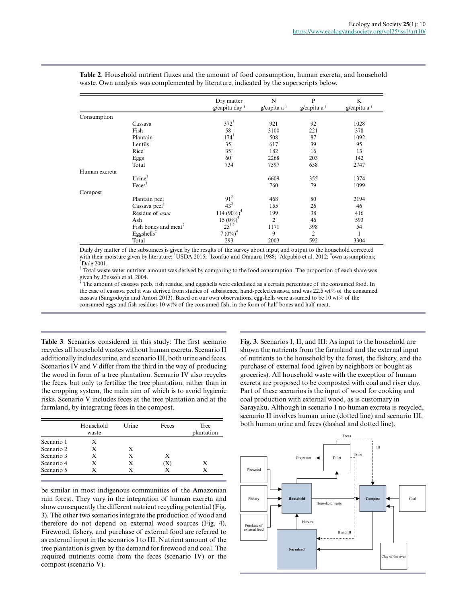|               |                                                      | Dry matter                  | N            | $\mathbf{P}$ | K            |
|---------------|------------------------------------------------------|-----------------------------|--------------|--------------|--------------|
|               |                                                      | g/capita day <sup>-1</sup>  | g/capita a-1 | g/capita a-1 | g/capita a-1 |
| Consumption   |                                                      |                             |              |              |              |
|               | Cassava                                              | $372$ <sup>1</sup>          | 921          | 92           | 1028         |
|               | Fish                                                 | 58 <sup>1</sup>             | 3100         | 221          | 378          |
|               | Plantain                                             | $174^1$                     | 508          | 87           | 1092         |
|               | Lentils                                              | $35^{1}$<br>35 <sup>1</sup> | 617          | 39           | 95           |
|               | Rice                                                 |                             | 182          | 16           | 13           |
|               | Eggs                                                 | 60 <sup>1</sup>             | 2268         | 203          | 142          |
|               | Total                                                | 734                         | 7597         | 658          | 2747         |
| Human excreta |                                                      |                             |              |              |              |
|               | Urine $†$                                            |                             | 6609         | 355          | 1374         |
|               | Feces <sup>T</sup>                                   |                             | 760          | 79           | 1099         |
| Compost       |                                                      |                             |              |              |              |
|               | Plantain peel                                        | $91^2$<br>43 <sup>3</sup>   | 468          | 80           | 2194         |
|               | Cassava peel <sup>1</sup>                            |                             | 155          | 26           | 46           |
|               | Residue of <i>asua</i>                               | $114(90\%)^4$               | 199          | 38           | 416          |
|               | Ash                                                  | 15 $(0\%)^4$                | 2            | 46           | 593          |
|               | Fish bones and meat <sup><math>\ddagger</math></sup> | $25^{1,5}$                  | 1171         | 398          | 54           |
|               | Eggshells $*$                                        | $7 (0\%)^4$                 | 9            | 2            |              |
|               | Total                                                | 293                         | 2003         | 592          | 3304         |

**Table 2**. Household nutrient fluxes and the amount of food consumption, human excreta, and household waste. Own analysis was complemented by literature, indicated by the superscripts below.

Daily dry matter of the substances is given by the results of the survey about input and output to the household corrected with their moisture given by literature: <sup>1</sup>USDA 2015; <sup>2</sup>Izonfuo and Omuaru 1988; <sup>3</sup>Akpabio et al. 2012; <sup>4</sup>own assumptions;  $^{\circ}$ Dale 2001.

† Total waste water nutrient amount was derived by comparing to the food consumption. The proportion of each share was given by Jönsson et al. 2004. ‡

 The amount of cassava peels, fish residue, and eggshells were calculated as a certain percentage of the consumed food. In the case of cassava peel it was derived from studies of subsistence, hand-peeled cassava, and was 22.5 wt% of the consumed cassava (Sangodoyin and Amori 2013). Based on our own observations, eggshells were assumed to be 10 wt% of the consumed eggs and fish residues 10 wt% of the consumed fish, in the form of half bones and half meat.

**Table 3**. Scenarios considered in this study: The first scenario recycles all household wastes without human excreta. Scenario II additionally includes urine, and scenario III, both urine and feces. Scenarios IV and V differ from the third in the way of producing the wood in form of a tree plantation. Scenario IV also recycles the feces, but only to fertilize the tree plantation, rather than in the cropping system, the main aim of which is to avoid hygienic risks. Scenario V includes feces at the tree plantation and at the farmland, by integrating feces in the compost.

|            | Household<br>waste | Urine | Feces | <b>Tree</b><br>plantation |
|------------|--------------------|-------|-------|---------------------------|
| Scenario 1 | X                  |       |       |                           |
| Scenario 2 | X                  | X     |       |                           |
| Scenario 3 | X                  | X     | Х     |                           |
| Scenario 4 | X                  | X     |       | X                         |
| Scenario 5 |                    | x     |       |                           |

be similar in most indigenous communities of the Amazonian rain forest. They vary in the integration of human excreta and show consequently the different nutrient recycling potential (Fig. 3). The other two scenarios integrate the production of wood and therefore do not depend on external wood sources (Fig. 4). Firewood, fishery, and purchase of external food are referred to as external input in the scenarios I to III. Nutrient amount of the tree plantation is given by the demand for firewood and coal. The required nutrients come from the feces (scenario IV) or the compost (scenario V).

**Fig. 3**. Scenarios I, II, and III: As input to the household are shown the nutrients from the farmland and the external input of nutrients to the household by the forest, the fishery, and the purchase of external food (given by neighbors or bought as groceries). All household waste with the exception of human excreta are proposed to be composted with coal and river clay. Part of these scenarios is the input of wood for cooking and coal production with external wood, as is customary in Sarayaku. Although in scenario I no human excreta is recycled, scenario II involves human urine (dotted line) and scenario III, both human urine and feces (dashed and dotted line).

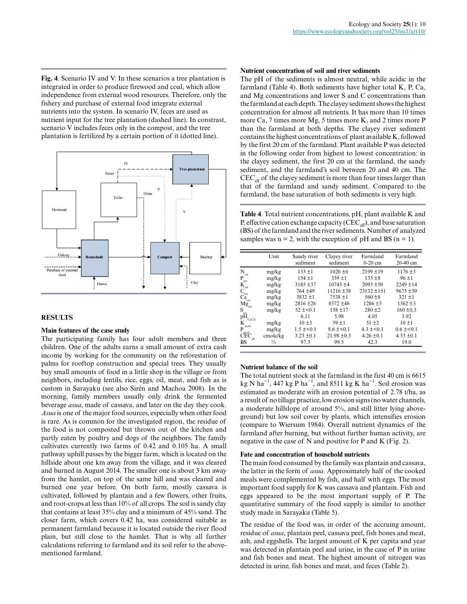**Fig. 4**. Scenario IV and V: In these scenarios a tree plantation is integrated in order to produce firewood and coal, which allow independence from external wood resources. Therefore, only the fishery and purchase of external food integrate external nutrients into the system. In scenario IV, feces are used as nutrient input for the tree plantation (dashed line). In constrast, scenario V includes feces only in the compost, and the tree plantation is fertilized by a certain portion of it (dotted line).



# **RESULTS**

## **Main features of the case study**

The participating family has four adult members and three children. One of the adults earns a small amount of extra cash income by working for the community on the reforestation of palms for rooftop construction and special trees. They usually buy small amounts of food in a little shop in the village or from neighbors, including lentils, rice, eggs, oil, meat, and fish as is custom in Sarayaku (see also Sirén and Machoa 2008). In the morning, family members usually only drink the fermented beverage *asua*, made of cassava, and later on the day they cook. *Asua* is one of the major food sources, especially when other food is rare. As is common for the investigated region, the residue of the food is not composted but thrown out of the kitchen and partly eaten by poultry and dogs of the neighbors. The family cultivates currently two farms of 0.42 and 0.105 ha. A small pathway uphill passes by the bigger farm, which is located on the hillside about one km away from the village, and it was cleared and burned in August 2014. The smaller one is about 3 km away from the hamlet, on top of the same hill and was cleared and burned one year before. On both farm, mostly cassava is cultivated, followed by plantain and a few flowers, other fruits, and root-crops at less than 10% of all crops. The soil is sandy clay that contains at least 35% clay and a minimum of 45% sand. The closer farm, which covers 0.42 ha, was considered suitable as permanent farmland because it is located outside the river flood plain, but still close to the hamlet. That is why all further calculations referring to farmland and its soil refer to the abovementioned farmland.

#### **Nutrient concentration of soil and river sediments**

The pH of the sediments is almost neutral, while acidic in the farmland (Table 4). Both sediments have higher total K, P, Ca, and Mg concentrations and lower S and C concentrations than the farmland at each depth. The clayey sediment shows the highest concentration for almost all nutrients. It has more than 10 times more Ca, 7 times more Mg, 5 times more K, and 2 times more P than the farmland at both depths. The clayey river sediment contains the highest concentrations of plant available K, followed by the first 20 cm of the farmland. Plant available P was detected in the following order from highest to lowest concentration: in the clayey sediment, the first 20 cm at the farmland, the sandy sediment, and the farmland's soil between 20 and 40 cm. The  $\mathrm{CEC}_{\mathrm{eff}}$  of the clayey sediment is more than four times larger than that of the farmland and sandy sediment. Compared to the farmland, the base saturation of both sediments is very high.

**Table 4**. Total nutrient concentrations, pH, plant available K and P, effective cation exchange capacity ( $\mathrm{CEC}_\mathrm{eff}$ ), and base saturation (BS) of the farmland and the river sediments. Number of analyzed samples was  $n = 2$ , with the exception of pH and BS ( $n = 1$ ).

|                                               | Unit           | Sandy river<br>sediment  | Clayey river<br>sediment   | Farmland<br>$0-20$ cm      | Farmland<br>20-40 cm        |
|-----------------------------------------------|----------------|--------------------------|----------------------------|----------------------------|-----------------------------|
| N<br>tot                                      | mg/kg          | $133 \pm 1$              | $1020 \pm 6$               | $2199 \pm 19$              | $1176 \pm 3$                |
| P<br>$_{\text{tot}}$<br>K                     | mg/kg<br>mg/kg | $154 + 1$<br>$3185 + 37$ | $339 + 1$<br>$10743 \pm 4$ | $133 + 8$<br>$2093 \pm 50$ | $96 \pm 1$<br>$2249 \pm 14$ |
| tot<br>C<br>tot                               | mg/kg          | 764 ±49                  | $11216 \pm 38$             | 23132 ±151                 | $9675 \pm 39$               |
| $\tilde{\text{Ca}}_{\text{tot}}$              | mg/kg          | $3832 \pm 1$             | $7538 \pm 1$               | $560 \pm 8$                | $321 \pm 1$                 |
| ${ {\rm Mg}_{_{\rm tot}}}$                    | mg/kg          | $2816 \pm 26$            | $8572 \pm 46$              | $1286 \pm 3$               | $1362 \pm 3$                |
| S                                             | mg/kg          | $52 \pm 0.1$             | $158 + 17$                 | $280 \pm 2$                | $160 \pm 0.3$               |
| $\tilde{p}^{\text{tot}}$<br>CaCl <sub>2</sub> |                | 6.11                     | 5.98                       | 4.05                       | 3.92                        |
| K<br>avail.                                   | mg/kg          | $10 + 3$                 | $59 + 1$                   | $51 + 2$                   | $10 + 1$                    |
| P<br>avail.                                   | mg/kg          | $1.5 \pm 0.1$            | $8.6 \pm 0.1$              | $4.3 \pm 0.1$              | $0.6 \pm 0.1$               |
| CEC<br>cff.                                   | cmolc/kg       | $3.23 \pm 0.1$           | $21.98 \pm 0.3$            | $4.26 \pm 0.1$             | $4.33 \pm 0.1$              |
| BS                                            | $\frac{0}{0}$  | 97.3                     | 99.5                       | 42.3                       | 19.0                        |

# **Nutrient balance of the soil**

The total nutrient stock at the farmland in the first 40 cm is 6615 kg N ha<sup>-1</sup>, 447 kg P ha<sup>-1</sup>, and 8511 kg K ha<sup>-1</sup>. Soil erosion was estimated as moderate with an erosion potential of 2.78 t/ha, as a result of no tillage practice, low erosion signs (no water channels, a moderate hillslope of around 5%, and still litter lying aboveground) but low soil cover by plants, which intensifies erosion (compare to Wiersum 1984). Overall nutrient dynamics of the farmland after burning, but without further human activity, are negative in the case of N and positive for P and K (Fig. 2).

#### **Fate and concentration of household nutrients**

The main food consumed by the family was plantain and cassava, the latter in the form of *asua*. Approximately half of the cooked meals were complemented by fish, and half with eggs. The most important food supply for K was cassava and plantain. Fish and eggs appeared to be the most important supply of P. The quantitative summary of the food supply is similar to another study made in Sarayaku (Table 5).

The residue of the food was, in order of the accruing amount, residue of *asua*, plantain peel, cassava peel, fish bones and meat, ash, and eggshells. The largest amount of K per capita and year was detected in plantain peel and urine, in the case of P in urine and fish bones and meat. The highest amount of nitrogen was detected in urine, fish bones and meat, and feces (Table 2).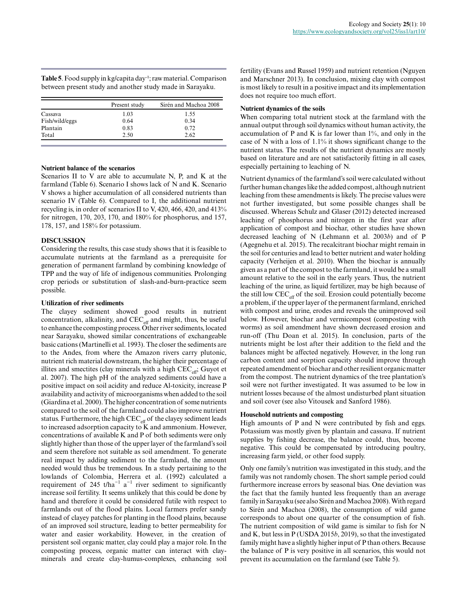**Table 5**. Food supply in kg/capita day<sup>-1</sup>; raw material. Comparison between present study and another study made in Sarayaku.

|                | Present study | Sirén and Machoa 2008 |  |  |
|----------------|---------------|-----------------------|--|--|
| Cassava        | 1.03          | 1.55                  |  |  |
| Fish/wild/eggs | 0.64          | 0.34                  |  |  |
| Plantain       | 0.83          | 0.72                  |  |  |
| Total          | 2.50          | 2.62                  |  |  |

#### **Nutrient balance of the scenarios**

Scenarios II to V are able to accumulate N, P, and K at the farmland (Table 6). Scenario I shows lack of N and K. Scenario V shows a higher accumulation of all considered nutrients than scenario IV (Table 6). Compared to I, the additional nutrient recycling is, in order of scenarios II to V, 420, 466, 420, and 413% for nitrogen, 170, 203, 170, and 180% for phosphorus, and 157, 178, 157, and 158% for potassium.

## **DISCUSSION**

Considering the results, this case study shows that it is feasible to accumulate nutrients at the farmland as a prerequisite for generation of permanent farmland by combining knowledge of TPP and the way of life of indigenous communities. Prolonging crop periods or substitution of slash-and-burn-practice seem possible.

#### **Utilization of river sediments**

The clayey sediment showed good results in nutrient concentration, alkalinity, and CEC<sub>eff</sub> and might, thus, be useful to enhance the composting process. Other river sediments, located near Sarayaku, showed similar concentrations of exchangeable basic cations (Martinelli et al. 1993). The closer the sediments are to the Andes, from where the Amazon rivers carry plutonic, nutrient rich material downstream, the higher their percentage of illites and smectites (clay minerals with a high  $\text{CEC}_{\text{eff}}$ ; Guyot et al. 2007). The high pH of the analyzed sediments could have a positive impact on soil acidity and reduce Al-toxicity, increase P availability and activity of microorganisms when added to the soil (Giardina et al. 2000). The higher concentration of some nutrients compared to the soil of the farmland could also improve nutrient status. Furthermore, the high CEC<sub>eff</sub> of the clayey sediment leads to increased adsorption capacity to K and ammonium. However, concentrations of available K and P of both sediments were only slightly higher than those of the upper layer of the farmland's soil and seem therefore not suitable as soil amendment. To generate real impact by adding sediment to the farmland, the amount needed would thus be tremendous. In a study pertaining to the lowlands of Colombia, Herrera et al. (1992) calculated a requirement of 245 t/ha<sup>-1</sup> a<sup>-1</sup> river sediment to significantly increase soil fertility. It seems unlikely that this could be done by hand and therefore it could be considered futile with respect to farmlands out of the flood plains. Local farmers prefer sandy instead of clayey patches for planting in the flood plains, because of an improved soil structure, leading to better permeability for water and easier workability. However, in the creation of persistent soil organic matter, clay could play a major role. In the composting process, organic matter can interact with clayminerals and create clay-humus-complexes, enhancing soil fertility (Evans and Russel 1959) and nutrient retention (Nguyen and Marschner 2013). In conclusion, mixing clay with compost is most likely to result in a positive impact and its implementation does not require too much effort.

#### **Nutrient dynamics of the soils**

When comparing total nutrient stock at the farmland with the annual output through soil dynamics without human activity, the accumulation of P and K is far lower than 1%, and only in the case of N with a loss of 1.1% it shows significant change to the nutrient status. The results of the nutrient dynamics are mostly based on literature and are not satisfactorily fitting in all cases, especially pertaining to leaching of N.

Nutrient dynamics of the farmland's soil were calculated without further human changes like the added compost, although nutrient leaching from these amendments is likely. The precise values were not further investigated, but some possible changes shall be discussed. Whereas Schulz and Glaser (2012) detected increased leaching of phosphorus and nitrogen in the first year after application of compost and biochar, other studies have shown decreased leaching of N (Lehmann et al. 2003*b*) and of P (Agegnehu et al. 2015). The recalcitrant biochar might remain in the soil for centuries and lead to better nutrient and water holding capacity (Verheijen et al. 2010). When the biochar is annually given as a part of the compost to the farmland, it would be a small amount relative to the soil in the early years. Thus, the nutrient leaching of the urine, as liquid fertilizer, may be high because of the still low CEC<sub>eff</sub> of the soil. Erosion could potentially become a problem, if the upper layer of the permanent farmland, enriched with compost and urine, erodes and reveals the unimproved soil below. However, biochar and vermicompost (composting with worms) as soil amendment have shown decreased erosion and run-off (Thu Doan et al. 2015). In conclusion, parts of the nutrients might be lost after their addition to the field and the balances might be affected negatively. However, in the long run carbon content and sorption capacity should improve through repeated amendment of biochar and other resilient organic matter from the compost. The nutrient dynamics of the tree plantation's soil were not further investigated. It was assumed to be low in nutrient losses because of the almost undisturbed plant situation and soil cover (see also Vitousek and Sanford 1986).

## **Household nutrients and composting**

High amounts of P and N were contributed by fish and eggs. Potassium was mostly given by plantain and cassava. If nutrient supplies by fishing decrease, the balance could, thus, become negative. This could be compensated by introducing poultry, increasing farm yield, or other food supply.

Only one family's nutrition was investigated in this study, and the family was not randomly chosen. The short sample period could furthermore increase errors by seasonal bias. One deviation was the fact that the family hunted less frequently than an average family in Sarayaku (see also Sirén and Machoa 2008). With regard to Sirén and Machoa (2008), the consumption of wild game corresponds to about one quarter of the consumption of fish. The nutrient composition of wild game is similar to fish for N and K, but less in P (USDA 2015*b*, 2019), so that the investigated family might have a slightly higher input of P than others. Because the balance of P is very positive in all scenarios, this would not prevent its accumulation on the farmland (see Table 5).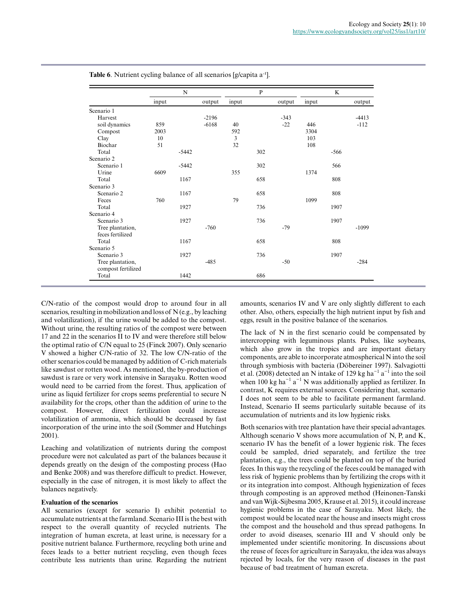|                    | $\mathbf N$ |         |         | $\mathbf{P}$ |     | $\mathbf K$ |       |        |         |
|--------------------|-------------|---------|---------|--------------|-----|-------------|-------|--------|---------|
|                    | input       |         | output  | input        |     | output      | input |        | output  |
| Scenario 1         |             |         |         |              |     |             |       |        |         |
| Harvest            |             |         | $-2196$ |              |     | $-343$      |       |        | $-4413$ |
| soil dynamics      | 859         |         | $-6168$ | 40           |     | $-22$       | 446   |        | $-112$  |
| Compost            | 2003        |         |         | 592          |     |             | 3304  |        |         |
| Clay               | 10          |         |         | 3            |     |             | 103   |        |         |
| Biochar            | 51          |         |         | 32           |     |             | 108   |        |         |
| Total              |             | $-5442$ |         |              | 302 |             |       | $-566$ |         |
| Scenario 2         |             |         |         |              |     |             |       |        |         |
| Scenario 1         |             | $-5442$ |         |              | 302 |             |       | 566    |         |
| Urine              | 6609        |         |         | 355          |     |             | 1374  |        |         |
| Total              |             | 1167    |         |              | 658 |             |       | 808    |         |
| Scenario 3         |             |         |         |              |     |             |       |        |         |
| Scenario 2         |             | 1167    |         |              | 658 |             |       | 808    |         |
| Feces              | 760         |         |         | 79           |     |             | 1099  |        |         |
| Total              |             | 1927    |         |              | 736 |             |       | 1907   |         |
| Scenario 4         |             |         |         |              |     |             |       |        |         |
| Scenario 3         |             | 1927    |         |              | 736 |             |       | 1907   |         |
| Tree plantation,   |             |         | $-760$  |              |     | $-79$       |       |        | $-1099$ |
| feces fertilized   |             |         |         |              |     |             |       |        |         |
| Total              |             | 1167    |         |              | 658 |             |       | 808    |         |
| Scenario 5         |             |         |         |              |     |             |       |        |         |
| Scenario 3         |             | 1927    |         |              | 736 |             |       | 1907   |         |
| Tree plantation,   |             |         | $-485$  |              |     | $-50$       |       |        | $-284$  |
| compost fertilized |             |         |         |              |     |             |       |        |         |
| Total              |             | 1442    |         |              | 686 |             |       |        |         |

**Table 6**. Nutrient cycling balance of all scenarios [g/capita a<sup>-1</sup>].

C/N-ratio of the compost would drop to around four in all scenarios, resulting in mobilization and loss of N (e.g., by leaching and volatilization), if the urine would be added to the compost. Without urine, the resulting ratios of the compost were between 17 and 22 in the scenarios II to IV and were therefore still below the optimal ratio of C/N equal to 25 (Finck 2007). Only scenario V showed a higher C/N-ratio of 32. The low C/N-ratio of the other scenarios could be managed by addition of C-rich materials like sawdust or rotten wood. As mentioned, the by-production of sawdust is rare or very work intensive in Sarayaku. Rotten wood would need to be carried from the forest. Thus, application of urine as liquid fertilizer for crops seems preferential to secure N availability for the crops, other than the addition of urine to the compost. However, direct fertilization could increase volatilization of ammonia, which should be decreased by fast incorporation of the urine into the soil (Sommer and Hutchings 2001).

Leaching and volatilization of nutrients during the compost procedure were not calculated as part of the balances because it depends greatly on the design of the composting process (Hao and Benke 2008) and was therefore difficult to predict. However, especially in the case of nitrogen, it is most likely to affect the balances negatively.

## **Evaluation of the scenarios**

All scenarios (except for scenario I) exhibit potential to accumulate nutrients at the farmland. Scenario III is the best with respect to the overall quantity of recycled nutrients. The integration of human excreta, at least urine, is necessary for a positive nutrient balance. Furthermore, recycling both urine and feces leads to a better nutrient recycling, even though feces contribute less nutrients than urine. Regarding the nutrient amounts, scenarios IV and V are only slightly different to each other. Also, others, especially the high nutrient input by fish and eggs, result in the positive balance of the scenarios.

The lack of N in the first scenario could be compensated by intercropping with leguminous plants. Pulses, like soybeans, which also grow in the tropics and are important dietary components, are able to incorporate atmospherical N into the soil through symbiosis with bacteria (Döbereiner 1997). Salvagiotti et al. (2008) detected an N intake of 129 kg ha<sup>-1</sup> a<sup>-1</sup> into the soil when 100 kg ha<sup>-1</sup> a<sup>-1</sup> N was additionally applied as fertilizer. In contrast, K requires external sources. Considering that, scenario I does not seem to be able to facilitate permanent farmland. Instead, Scenario II seems particularly suitable because of its accumulation of nutrients and its low hygienic risks.

Both scenarios with tree plantation have their special advantages. Although scenario V shows more accumulation of N, P, and K, scenario IV has the benefit of a lower hygienic risk. The feces could be sampled, dried separately, and fertilize the tree plantation, e.g., the trees could be planted on top of the buried feces. In this way the recycling of the feces could be managed with less risk of hygienic problems than by fertilizing the crops with it or its integration into compost. Although hygienization of feces through composting is an approved method (Heinonen-Tanski and van Wijk-Sijbesma 2005, Krause et al. 2015), it could increase hygienic problems in the case of Sarayaku. Most likely, the compost would be located near the house and insects might cross the compost and the household and thus spread pathogens. In order to avoid diseases, scenario III and V should only be implemented under scientific monitoring. In discussions about the reuse of feces for agriculture in Sarayaku, the idea was always rejected by locals, for the very reason of diseases in the past because of bad treatment of human excreta.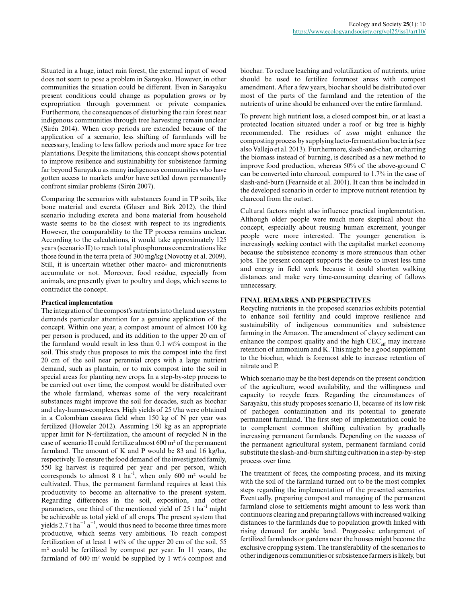Situated in a huge, intact rain forest, the external input of wood does not seem to pose a problem in Sarayaku. However, in other communities the situation could be different. Even in Sarayaku present conditions could change as population grows or by expropriation through government or private companies. Furthermore, the consequences of disturbing the rain forest near indigenous communities through tree harvesting remain unclear (Sirén 2014). When crop periods are extended because of the application of a scenario, less shifting of farmlands will be necessary, leading to less fallow periods and more space for tree plantations. Despite the limitations, this concept shows potential to improve resilience and sustainability for subsistence farming far beyond Sarayaku as many indigenous communities who have gotten access to markets and/or have settled down permanently confront similar problems (Sirén 2007).

Comparing the scenarios with substances found in TP soils, like bone material and excreta (Glaser and Birk 2012), the third scenario including excreta and bone material from household waste seems to be the closest with respect to its ingredients. However, the comparability to the TP process remains unclear. According to the calculations, it would take approximately 125 years (scenario II) to reach total phosphorous concentrations like those found in the terra preta of 300 mg/kg (Novotny et al. 2009). Still, it is uncertain whether other macro- and micronutrients accumulate or not. Moreover, food residue, especially from animals, are presently given to poultry and dogs, which seems to contradict the concept.

## **Practical implementation**

The integration of the compost's nutrients into the land use system demands particular attention for a genuine application of the concept. Within one year, a compost amount of almost 100 kg per person is produced, and its addition to the upper 20 cm of the farmland would result in less than  $0.1 \text{ wt\%}$  compost in the soil. This study thus proposes to mix the compost into the first 20 cm of the soil near perennial crops with a large nutrient demand, such as plantain, or to mix compost into the soil in special areas for planting new crops. In a step-by-step process to be carried out over time, the compost would be distributed over the whole farmland, whereas some of the very recalcitrant substances might improve the soil for decades, such as biochar and clay-humus-complexes. High yields of 25 t/ha were obtained in a Colombian cassava field when 150 kg of N per year was fertilized (Howeler 2012). Assuming 150 kg as an appropriate upper limit for N-fertilization, the amount of recycled N in the case of scenario II could fertilize almost 600 m² of the permanent farmland. The amount of K and P would be 83 and 16 kg/ha, respectively. To ensure the food demand of the investigated family, 550 kg harvest is required per year and per person, which corresponds to almost  $8 \text{ t}$  ha<sup>-1</sup>, when only  $600 \text{ m}^2$  would be cultivated. Thus, the permanent farmland requires at least this productivity to become an alternative to the present system. Regarding differences in the soil, exposition, and other parameters, one third of the mentioned yield of  $25$  t ha<sup>-1</sup> might be achievable as total yield of all crops. The present system that yields 2.7 t ha<sup> $-1$ </sup> a<sup> $-1$ </sup>, would thus need to become three times more productive, which seems very ambitious. To reach compost fertilization of at least 1 wt% of the upper 20 cm of the soil, 55 m² could be fertilized by compost per year. In 11 years, the farmland of 600 m² would be supplied by 1 wt% compost and

biochar. To reduce leaching and volatilization of nutrients, urine should be used to fertilize foremost areas with compost amendment. After a few years, biochar should be distributed over most of the parts of the farmland and the retention of the nutrients of urine should be enhanced over the entire farmland.

To prevent high nutrient loss, a closed compost bin, or at least a protected location situated under a roof or big tree is highly recommended. The residues of *asua* might enhance the composting process by supplying lacto-fermentation bacteria (see also Vallejo et al. 2013). Furthermore, slash-and-char, or charring the biomass instead of burning, is described as a new method to improve food production, whereas 50% of the above-ground C can be converted into charcoal, compared to 1.7% in the case of slash-and-burn (Fearnside et al. 2001). It can thus be included in the developed scenario in order to improve nutrient retention by charcoal from the outset.

Cultural factors might also influence practical implementation. Although older people were much more skeptical about the concept, especially about reusing human excrement, younger people were more interested. The younger generation is increasingly seeking contact with the capitalist market economy because the subsistence economy is more strenuous than other jobs. The present concept supports the desire to invest less time and energy in field work because it could shorten walking distances and make very time-consuming clearing of fallows unnecessary.

# **FINAL REMARKS AND PERSPECTIVES**

Recycling nutrients in the proposed scenarios exhibits potential to enhance soil fertility and could improve resilience and sustainability of indigenous communities and subsistence farming in the Amazon. The amendment of clayey sediment can enhance the compost quality and the high  $\text{CEC}_{\text{eff}}$  may increase retention of ammonium and K. This might be a good supplement to the biochar, which is foremost able to increase retention of nitrate and P.

Which scenario may be the best depends on the present condition of the agriculture, wood availability, and the willingness and capacity to recycle feces. Regarding the circumstances of Sarayaku, this study proposes scenario II, because of its low risk of pathogen contamination and its potential to generate permanent farmland. The first step of implementation could be to complement common shifting cultivation by gradually increasing permanent farmlands. Depending on the success of the permanent agricultural system, permanent farmland could substitute the slash-and-burn shifting cultivation in a step-by-step process over time.

The treatment of feces, the composting process, and its mixing with the soil of the farmland turned out to be the most complex steps regarding the implementation of the presented scenarios. Eventually, preparing compost and managing of the permanent farmland close to settlements might amount to less work than continuous clearing and preparing fallows with increased walking distances to the farmlands due to population growth linked with rising demand for arable land. Progressive enlargement of fertilized farmlands or gardens near the houses might become the exclusive cropping system. The transferability of the scenarios to other indigenous communities or subsistence farmers is likely, but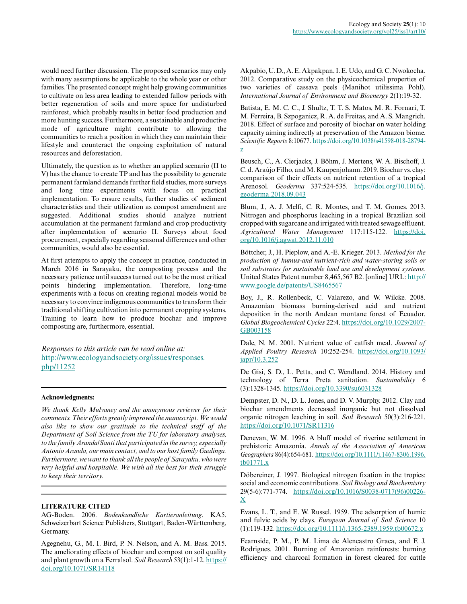would need further discussion. The proposed scenarios may only with many assumptions be applicable to the whole year or other families. The presented concept might help growing communities to cultivate on less area leading to extended fallow periods with better regeneration of soils and more space for undisturbed rainforest, which probably results in better food production and more hunting success. Furthermore, a sustainable and productive mode of agriculture might contribute to allowing the communities to reach a position in which they can maintain their lifestyle and counteract the ongoing exploitation of natural resources and deforestation.

Ultimately, the question as to whether an applied scenario (II to V) has the chance to create TP and has the possibility to generate permanent farmland demands further field studies, more surveys and long time experiments with focus on practical implementation. To ensure results, further studies of sediment characteristics and their utilization as compost amendment are suggested. Additional studies should analyze nutrient accumulation at the permanent farmland and crop productivity after implementation of scenario II. Surveys about food procurement, especially regarding seasonal differences and other communities, would also be essential.

At first attempts to apply the concept in practice, conducted in March 2016 in Sarayaku, the composting process and the necessary patience until success turned out to be the most critical points hindering implementation. Therefore, long-time experiments with a focus on creating regional models would be necessary to convince indigenous communities to transform their traditional shifting cultivation into permanent cropping systems. Training to learn how to produce biochar and improve composting are, furthermore, essential.

*Responses to this article can be read online at:* [http://www.ecologyandsociety.org/issues/responses.](http://www.ecologyandsociety.org/issues/responses.php/11252) [php/11252](http://www.ecologyandsociety.org/issues/responses.php/11252)

#### **Acknowledgments:**

*We thank Kelly Mulvaney and the anonymous reviewer for their comments. Their efforts greatly improved the manuscript. We would also like to show our gratitude to the technical staff of the Department of Soil Science from the TU for laboratory analyses, to the family Aranda/Santi that participated in the survey, especially Antonio Aranda, our main contact, and to our host family Gualinga. Furthermore, we want to thank all the people of Sarayaku, who were very helpful and hospitable. We wish all the best for their struggle to keep their territory.*

#### **LITERATURE CITED**

AG-Boden. 2006. *Bodenkundliche Kartieranleitung*. KA5. Schweizerbart Science Publishers, Stuttgart, Baden-Württemberg, Germany.

Agegnehu, G., M. I. Bird, P. N. Nelson, and A. M. Bass. 2015. The ameliorating effects of biochar and compost on soil quality and plant growth on a Ferralsol. *Soil Research* 53(1):1-12. [https://](https://doi.org/10.1071/SR14118) [doi.org/10.1071/SR14118](https://doi.org/10.1071/SR14118)

Akpabio, U. D., A. E. Akpakpan, I. E. Udo, and G. C. Nwokocha. 2012. Comparative study on the physicochemical properties of two varieties of cassava peels (Manihot utilissima Pohl). *International Journal of Environment and Bioenergy* 2(1):19-32.

Batista, E. M. C. C., J. Shultz, T. T. S. Matos, M. R. Fornari, T. M. Ferreira, B. Szpoganicz, R. A. de Freitas, and A. S. Mangrich. 2018. Effect of surface and porosity of biochar on water holding capacity aiming indirectly at preservation of the Amazon biome. *Scientific Reports* 8:10677. [https://doi.org/10.1038/s41598-018-28794](https://doi.org/10.1038/s41598-018-28794-z) [z](https://doi.org/10.1038/s41598-018-28794-z) 

Beusch, C., A. Cierjacks, J. Böhm, J. Mertens, W. A. Bischoff, J. C. d. Araújo Filho, and M. Kaupenjohann. 2019. Biochar vs. clay: comparison of their effects on nutrient retention of a tropical Arenosol. *Geoderma* 337:524-535. [https://doi.org/10.1016/j.](https://doi.org/10.1016/j.geoderma.2018.09.043) [geoderma.2018.09.043](https://doi.org/10.1016/j.geoderma.2018.09.043) 

Blum, J., A. J. Melfi, C. R. Montes, and T. M. Gomes. 2013. Nitrogen and phosphorus leaching in a tropical Brazilian soil cropped with sugarcane and irrigated with treated sewage effluent. *Agricultural Water Management* 117:115-122. [https://doi.](https://doi.org/10.1016/j.agwat.2012.11.010) [org/10.1016/j.agwat.2012.11.010](https://doi.org/10.1016/j.agwat.2012.11.010)

Böttcher, J., H. Pieplow, and A.-E. Krieger. 2013. *Method for the production of humus-and nutrient-rich and water-storing soils or soil substrates for sustainable land use and development systems.* United States Patent number 8,465,567 B2. [online] URL: [http://](http://www.google.de/patents/US8465567) [www.google.de/patents/US8465567](http://www.google.de/patents/US8465567)

Boy, J., R. Rollenbeck, C. Valarezo, and W. Wilcke. 2008. Amazonian biomass burning-derived acid and nutrient deposition in the north Andean montane forest of Ecuador. *Global Biogeochemical Cycles* 22:4. [https://doi.org/10.1029/2007](https://doi.org/10.1029/2007GB003158) [GB003158](https://doi.org/10.1029/2007GB003158)

Dale, N. M. 2001. Nutrient value of catfish meal. *Journal of Applied Poultry Research* 10:252-254. [https://doi.org/10.1093/](https://doi.org/10.1093/japr/10.3.252) [japr/10.3.252](https://doi.org/10.1093/japr/10.3.252) 

De Gisi, S. D., L. Petta, and C. Wendland. 2014. History and technology of Terra Preta sanitation. *Sustainability* 6 (3):1328-1345. <https://doi.org/10.3390/su6031328>

Dempster, D. N., D. L. Jones, and D. V. Murphy. 2012. Clay and biochar amendments decreased inorganic but not dissolved organic nitrogen leaching in soil. *Soil Research* 50(3):216-221. <https://doi.org/10.1071/SR11316>

Denevan, W. M. 1996. A bluff model of riverine settlement in prehistoric Amazonia. *Annals of the Association of American Geographers* 86(4):654-681. [https://doi.org/10.1111/j.1467-8306.1996.](https://doi.org/10.1111/j.1467-8306.1996.tb01771.x) [tb01771.x](https://doi.org/10.1111/j.1467-8306.1996.tb01771.x)

Döbereiner, J. 1997. Biological nitrogen fixation in the tropics: social and economic contributions. *Soil Biology and Biochemistry* 29(5-6):771-774. [https://doi.org/10.1016/S0038-0717\(96\)00226-](https://doi.org/10.1016/S0038-0717(96)00226-X) [X](https://doi.org/10.1016/S0038-0717(96)00226-X) 

Evans, L. T., and E. W. Russel. 1959. The adsorption of humic and fulvic acids by clays. *European Journal of Soil Science* 10 (1):119-132.<https://doi.org/10.1111/j.1365-2389.1959.tb00672.x>

Fearnside, P. M., P. M. Lima de Alencastro Graca, and F. J. Rodrigues. 2001. Burning of Amazonian rainforests: burning efficiency and charcoal formation in forest cleared for cattle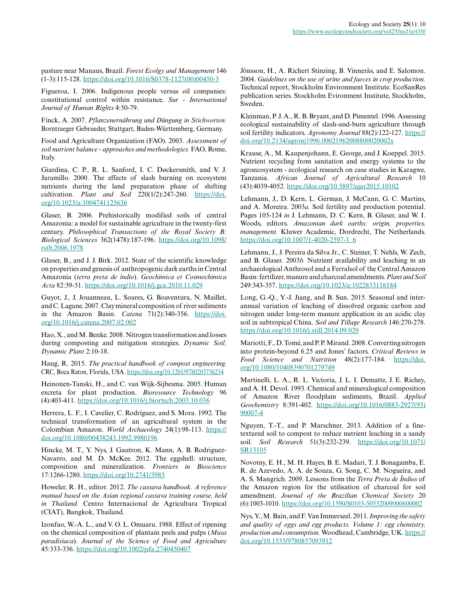pasture near Manaus, Brazil. *Forest Ecolgy and Management* 146 (1-3):115-128. [https://doi.org/10.1016/S0378-1127\(00\)00450-3](https://doi.org/10.1016/S0378-1127(00)00450-3) 

Figueroa, I. 2006. Indigenous people versus oil companies: constitutional control within resistance. *Sur - International Journal of Human Rights* 4:50-79.

Finck, A. 2007. *Pflanzenernährung und Düngung in Stichworten.* Borntraeger Gebrueder, Stuttgart, Baden-Württemberg, Germany.

Food and Agriculture Organization (FAO). 2003. *Assessment of soil nutrient balance - approaches and methodologies.* FAO, Rome, Italy.

Giardina, C. P., R. L. Sanford, I. C. Døckersmith, and V. J. Jaramillo. 2000. The effects of slash burning on ecosystem nutrients during the land preparation phase of shifting cultivation. *Plant and Soil* 220(1/2):247-260. [https://doi.](https://doi.org/10.1023/a:1004741125636) [org/10.1023/a:1004741125636](https://doi.org/10.1023/a:1004741125636) 

Glaser, B. 2006. Prehistorically modified soils of central Amazonia: a model for sustainable agriculture in the twenty-first century. *Philosophical Transactions of the Royal Society B: Biological Sciences* 362(1478):187-196. [https://doi.org/10.1098/](https://doi.org/10.1098/rstb.2006.1978) [rstb.2006.1978](https://doi.org/10.1098/rstb.2006.1978)

Glaser, B., and J. J. Birk. 2012. State of the scientific knowledge on properties and genesis of anthropogenic dark earths in Central Amazonia (*terra preta de índio*). *Geochimica et Cosmochimica Acta* 82:39-51.<https://doi.org/10.1016/j.gca.2010.11.029>

Guyot, J., J. Jouanneau, L. Soares, G. Boaventura, N. Maillet, and C. Lagane. 2007. Clay mineral composition of river sediments in the Amazon Basin. *Catena* 71(2):340-356. [https://doi.](https://doi.org/10.1016/j.catena.2007.02.002) [org/10.1016/j.catena.2007.02.002](https://doi.org/10.1016/j.catena.2007.02.002)

Hao, X., and M. Benke. 2008. Nitrogen transformation and losses during composting and mitigation strategies. *Dynamic Soil, Dynamic Plant* 2:10-18.

Haug, R. 2015. *The practical handbook of compost engineering.* CRC, Boca Raton, Florida, USA. <https://doi.org/10.1201/9780203736234>

Heinonen-Tanski, H., and C. van Wijk-Sijbesma. 2005. Human excreta for plant production. *Bioresource Technology* 96 (4):403-411. <https://doi.org/10.1016/j.biortech.2003.10.036>

Herrera, L. F., I. Cavelier, C. Rodríguez, and S. Mora. 1992. The technical transformation of an agricultural system in the Colombian Amazon. *World Archaeology* 24(1):98-113. [https://](https://doi.org/10.1080/00438243.1992.9980196) [doi.org/10.1080/00438243.1992.9980196](https://doi.org/10.1080/00438243.1992.9980196)

Hincke, M. T., Y. Nys, J. Gautron, K. Mann, A. B. Rodriguez-Navarro, and M. D. McKee. 2012. The eggshell: structure, composition and mineralization. *Frontiers in Bioscience* 17:1266-1280.<https://doi.org/10.2741/3985>

Howeler, R. H., editor. 2012. *The cassava handbook. A reference manual based on the Asian regional cassava training course, held in Thailand.* Centro Internacional de Agricultura Tropical (CIAT), Bangkok, Thailand.

Izonfuo, W.-A. L., and V. O. L. Omuaru. 1988. Effect of ripening on the chemical composition of plantain peels and pulps (*Musa paradisiaca*). *Journal of the Science of Food and Agriculture* 45:333-336.<https://doi.org/10.1002/jsfa.2740450407>

Jönsson, H., A. Richert Stinzing, B. Vinnerås, and E. Salomon. 2004. *Guidelines on the use of urine and faeces in crop production.* Technical report, Stockholm Environment Institute. EcoSanRes publication series. Stockholm Evironment Institute, Stockholm, Sweden.

Kleinman, P. J. A., R. B. Bryant, and D. Pimentel. 1996. Assessing ecological sustainability of slash-and-burn agriculture through soil fertility indicators. *Agronomy Journal* 88(2):122-127. [https://](https://doi.org/10.2134/agronj1996.00021962008800020002x) [doi.org/10.2134/agronj1996.00021962008800020002x](https://doi.org/10.2134/agronj1996.00021962008800020002x)

Krause, A., M. Kaupenjohann, E. George, and J. Koeppel. 2015. Nutrient recycling from sanitation and energy systems to the agroecosystem - ecological research on case studies in Karagwe, Tanzania. *African Journal of Agricultural Research* 10 (43):4039-4052.<https://doi.org/10.5897/ajar2015.10102>

Lehmann, J., D. Kern, L. German, J. McCann, G. C. Martins, and A. Moreira. 2003*a.* Soil fertility and production potential. Pages 105-124 *in* J. Lehmann, D. C. Kern, B. Glaser, and W. I. Woods, editors. *Amazonian dark earths: origin, properties, management.* Kluwer Academic, Dordrecht, The Netherlands. [https://doi.org/10.1007/1-4020-2597-1\\_6](https://doi.org/10.1007/1-4020-2597-1_6) 

Lehmann, J., J. Pereira da Silva Jr., C. Steiner, T. Nehls, W. Zech, and B. Glaser. 2003*b.* Nutrient availability and leaching in an archaeological Anthrosol and a Ferralsol of the Central Amazon Basin: fertilizer, manure and charcoal amendments. *Plant and Soil* 249:343-357. <https://doi.org/10.1023/a:1022833116184>

Long, G.-Q., Y.-J. Jiang, and B. Sun. 2015. Seasonal and interannual variation of leaching of dissolved organic carbon and nitrogen under long-term manure application in an acidic clay soil in subtropical China. *Soil and Tillage Research* 146:270-278. <https://doi.org/10.1016/j.still.2014.09.020>

Mariotti, F., D. Tomé, and P. P. Mirand. 2008. Converting nitrogen into protein-beyond 6.25 and Jones' factors. *Critical Reviews in Food Science and Nutrition* 48(2):177-184. [https://doi.](https://doi.org/10.1080/10408390701279749) [org/10.1080/10408390701279749](https://doi.org/10.1080/10408390701279749) 

Martinelli, L. A., R. L. Victoria, J. L. I. Dematte, J. E. Richey, and A. H. Devol. 1993. Chemical and mineralogical composition of Amazon River floodplain sediments, Brazil. *Applied Geochemistry* 8:391-402. [https://doi.org/10.1016/0883-2927\(93\)](https://doi.org/10.1016/0883-2927(93)90007-4) [90007-4](https://doi.org/10.1016/0883-2927(93)90007-4) 

Nguyen, T.-T., and P. Marschner. 2013. Addition of a finetextured soil to compost to reduce nutrient leaching in a sandy soil. *Soil Research* 51(3):232-239. [https://doi.org/10.1071/](https://doi.org/10.1071/SR13105) [SR13105](https://doi.org/10.1071/SR13105)

Novotny, E. H., M. H. Hayes, B. E. Madari, T. J. Bonagamba, E. R. de Azevedo, A. A. de Souza, G. Song, C. M. Nogueira, and A. S. Mangrich. 2009. Lessons from the *Terra Preta de Índios* of the Amazon region for the utilisation of charcoal for soil amendment. *Journal of the Brazilian Chemical Society* 20 (6):1003-1010.<https://doi.org/10.1590/S0103-50532009000600002>

Nys, Y., M. Bain, and F. Van Immerseel. 2011. *Improving the safety and quality of eggs and egg products. Volume 1: egg chemistry, production and consumption.* Woodhead, Cambridge, UK. [https://](https://doi.org/10.1533/9780857093912) [doi.org/10.1533/9780857093912](https://doi.org/10.1533/9780857093912)